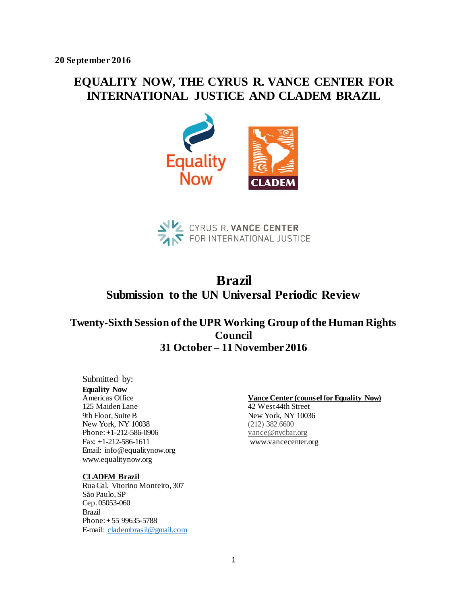# **EQUALITY NOW, THE CYRUS R. VANCE CENTER FOR INTERNATIONAL JUSTICE AND CLADEM BRAZIL**





# **Brazil Submission to the UN Universal Periodic Review**

## **Twenty-Sixth Session of the UPR Working Group of the Human Rights Council 31 October – 11 November 2016**

### Submitted by:

## **Equality Now**

Americas Office 125 Maiden Lane 9th Floor, Suite B New York, NY 10038 Phone: +1-212-586-0906 Fax: +1-212-586-1611 Email: info@equalitynow.org www.equalitynow.org

#### **CLADEM Brazil**

Rua Gal. Vitorino Monteiro, 307 São Paulo, SP Cep. 05053-060 Brazil Phone: + 55 99635-5788 E-mail: cladembrasil@gmail.com

#### **Vance Center (counsel for Equality Now)**

42 West 44th Street New York, NY 10036 (212) 382.6600 vance@nycbar.org www.vancecenter.org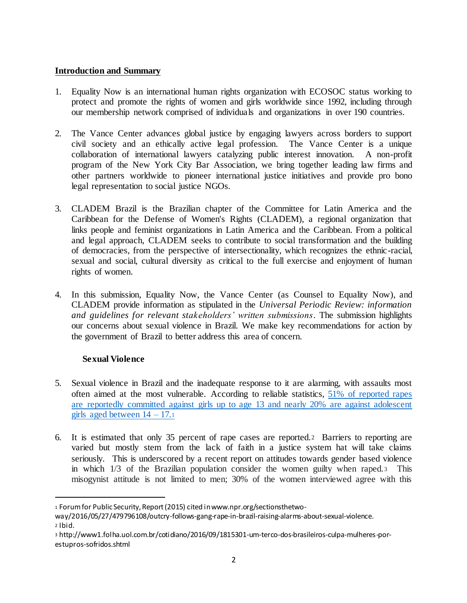## **Introduction and Summary**

- 1. Equality Now is an international human rights organization with ECOSOC status working to protect and promote the rights of women and girls worldwide since 1992, including through our membership network comprised of individuals and organizations in over 190 countries.
- 2. The Vance Center advances global justice by engaging lawyers across borders to support civil society and an ethically active legal profession. The Vance Center is a unique collaboration of international lawyers catalyzing public interest innovation. A non-profit program of the New York City Bar Association, we bring together leading law firms and other partners worldwide to pioneer international justice initiatives and provide pro bono legal representation to social justice NGOs.
- 3. CLADEM Brazil is the Brazilian chapter of the Committee for Latin America and the Caribbean for the Defense of Women's Rights (CLADEM), a regional organization that links people and feminist organizations in Latin America and the Caribbean. From a political and legal approach, CLADEM seeks to contribute to social transformation and the building of democracies, from the perspective of intersectionality, which recognizes the ethnic-racial, sexual and social, cultural diversity as critical to the full exercise and enjoyment of human rights of women.
- 4. In this submission, Equality Now, the Vance Center (as Counsel to Equality Now), and CLADEM provide information as stipulated in the *Universal Periodic Review: information and guidelines for relevant stakeholders' written submissions*. The submission highlights our concerns about sexual violence in Brazil. We make key recommendations for action by the government of Brazil to better address this area of concern.

## **Sexual Violence**

l

- 5. Sexual violence in Brazil and the inadequate response to it are alarming, with assaults most often aimed at the most vulnerable. According to reliable statistics, 51% of reported rapes are reportedly committed against girls up to age 13 and nearly 20% are against adolescent girls aged between  $14 - 17.1$
- 6. It is estimated that only 35 percent of rape cases are reported.2 Barriers to reporting are varied but mostly stem from the lack of faith in a justice system hat will take claims seriously. This is underscored by a recent report on attitudes towards gender based violence in which 1/3 of the Brazilian population consider the women guilty when raped.3 This misogynist attitude is not limited to men; 30% of the women interviewed agree with this

<sup>1</sup> Forum for Public Security, Report (2015) cited in www.npr.org/sectionsthetwo-

way/2016/05/27/479796108/outcry-follows-gang-rape-in-brazil-raising-alarms-about-sexual-violence. <sup>2</sup> Ibid.

<sup>3</sup> http://www1.folha.uol.com.br/cotidiano/2016/09/1815301-um-terco-dos-brasileiros-culpa-mulheres-porestupros-sofridos.shtml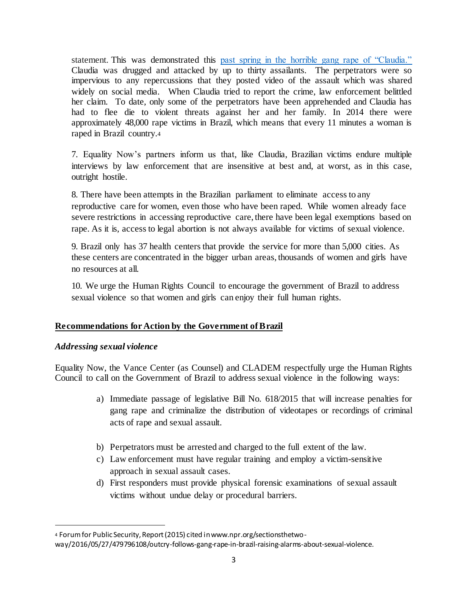statement. This was demonstrated this past spring in the horrible gang rape of "Claudia." Claudia was drugged and attacked by up to thirty assailants. The perpetrators were so impervious to any repercussions that they posted video of the assault which was shared widely on social media. When Claudia tried to report the crime, law enforcement belittled her claim. To date, only some of the perpetrators have been apprehended and Claudia has had to flee die to violent threats against her and her family. In 2014 there were approximately 48,000 rape victims in Brazil, which means that every 11 minutes a woman is raped in Brazil country.<sup>4</sup>

7. Equality Now's partners inform us that, like Claudia, Brazilian victims endure multiple interviews by law enforcement that are insensitive at best and, at worst, as in this case, outright hostile.

8. There have been attempts in the Brazilian parliament to eliminate access to any reproductive care for women, even those who have been raped. While women already face severe restrictions in accessing reproductive care, there have been legal exemptions based on rape. As it is, access to legal abortion is not always available for victims of sexual violence.

9. Brazil only has 37 health centers that provide the service for more than 5,000 cities. As these centers are concentrated in the bigger urban areas, thousands of women and girls have no resources at all.

10. We urge the Human Rights Council to encourage the government of Brazil to address sexual violence so that women and girls can enjoy their full human rights.

## **Recommendations for Action by the Government of Brazil**

## *Addressing sexual violence*

l

Equality Now, the Vance Center (as Counsel) and CLADEM respectfully urge the Human Rights Council to call on the Government of Brazil to address sexual violence in the following ways:

- a) Immediate passage of legislative Bill No. 618/2015 that will increase penalties for gang rape and criminalize the distribution of videotapes or recordings of criminal acts of rape and sexual assault.
- b) Perpetrators must be arrested and charged to the full extent of the law.
- c) Law enforcement must have regular training and employ a victim-sensitive approach in sexual assault cases.
- d) First responders must provide physical forensic examinations of sexual assault victims without undue delay or procedural barriers.

<sup>4</sup> Forum for Public Security, Report (2015) cited in www.npr.org/sectionsthetwo-

way/2016/05/27/479796108/outcry-follows-gang-rape-in-brazil-raising-alarms-about-sexual-violence.